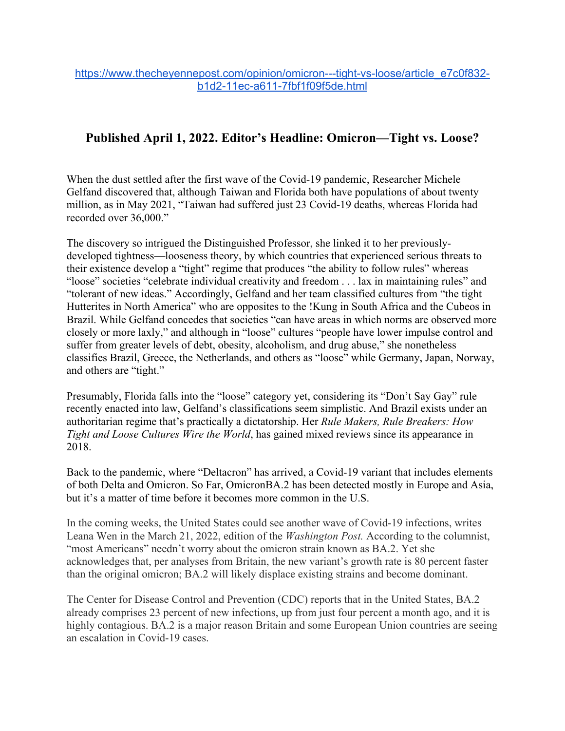## **Published April 1, 2022. Editor's Headline: Omicron—Tight vs. Loose?**

When the dust settled after the first wave of the Covid-19 pandemic, Researcher Michele Gelfand discovered that, although Taiwan and Florida both have populations of about twenty million, as in May 2021, "Taiwan had suffered just 23 Covid-19 deaths, whereas Florida had recorded over 36,000."

The discovery so intrigued the Distinguished Professor, she linked it to her previouslydeveloped tightness—looseness theory, by which countries that experienced serious threats to their existence develop a "tight" regime that produces "the ability to follow rules" whereas "loose" societies "celebrate individual creativity and freedom . . . lax in maintaining rules" and "tolerant of new ideas." Accordingly, Gelfand and her team classified cultures from "the tight Hutterites in North America" who are opposites to the !Kung in South Africa and the Cubeos in Brazil. While Gelfand concedes that societies "can have areas in which norms are observed more closely or more laxly," and although in "loose" cultures "people have lower impulse control and suffer from greater levels of debt, obesity, alcoholism, and drug abuse," she nonetheless classifies Brazil, Greece, the Netherlands, and others as "loose" while Germany, Japan, Norway, and others are "tight."

Presumably, Florida falls into the "loose" category yet, considering its "Don't Say Gay" rule recently enacted into law, Gelfand's classifications seem simplistic. And Brazil exists under an authoritarian regime that's practically a dictatorship. Her *Rule Makers, Rule Breakers: How Tight and Loose Cultures Wire the World*, has gained mixed reviews since its appearance in 2018.

Back to the pandemic, where "Deltacron" has arrived, a Covid-19 variant that includes elements of both Delta and Omicron. So Far, OmicronBA.2 has been detected mostly in Europe and Asia, but it's a matter of time before it becomes more common in the U.S.

In the coming weeks, the United States could see another wave of Covid-19 infections, writes Leana Wen in the March 21, 2022, edition of the *Washington Post.* According to the columnist, "most Americans" needn't worry about the omicron strain known as BA.2. Yet she acknowledges that, per analyses from Britain, the new variant's growth rate is 80 percent faster than the original omicron; BA.2 will likely displace existing strains and become dominant.

The Center for Disease Control and Prevention (CDC) reports that in the United States, BA.2 already comprises 23 percent of new infections, up from just four percent a month ago, and it is highly contagious. BA.2 is a major reason Britain and some European Union countries are seeing an escalation in Covid-19 cases.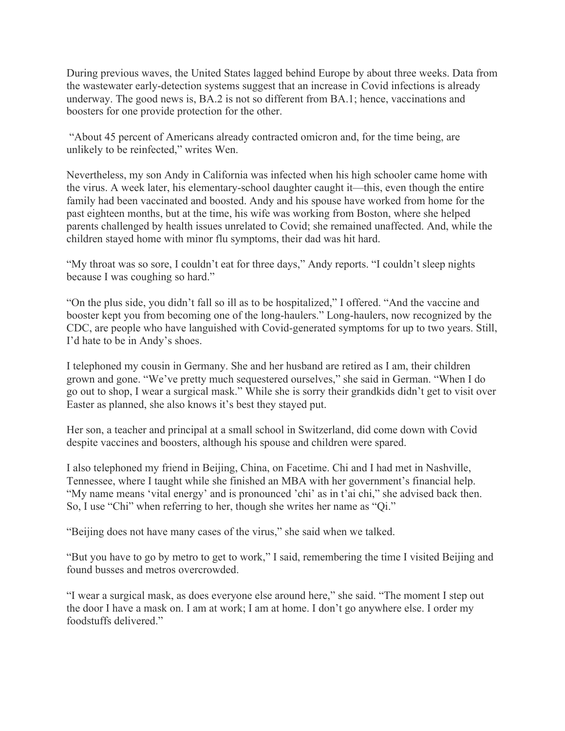During previous waves, the United States lagged behind Europe by about three weeks. Data from the wastewater early-detection systems suggest that an increase in Covid infections is already underway. The good news is, BA.2 is not so different from BA.1; hence, vaccinations and boosters for one provide protection for the other.

"About 45 percent of Americans already contracted omicron and, for the time being, are unlikely to be reinfected," writes Wen.

Nevertheless, my son Andy in California was infected when his high schooler came home with the virus. A week later, his elementary-school daughter caught it—this, even though the entire family had been vaccinated and boosted. Andy and his spouse have worked from home for the past eighteen months, but at the time, his wife was working from Boston, where she helped parents challenged by health issues unrelated to Covid; she remained unaffected. And, while the children stayed home with minor flu symptoms, their dad was hit hard.

"My throat was so sore, I couldn't eat for three days," Andy reports. "I couldn't sleep nights because I was coughing so hard."

"On the plus side, you didn't fall so ill as to be hospitalized," I offered. "And the vaccine and booster kept you from becoming one of the long-haulers." Long-haulers, now recognized by the CDC, are people who have languished with Covid-generated symptoms for up to two years. Still, I'd hate to be in Andy's shoes.

I telephoned my cousin in Germany. She and her husband are retired as I am, their children grown and gone. "We've pretty much sequestered ourselves," she said in German. "When I do go out to shop, I wear a surgical mask." While she is sorry their grandkids didn't get to visit over Easter as planned, she also knows it's best they stayed put.

Her son, a teacher and principal at a small school in Switzerland, did come down with Covid despite vaccines and boosters, although his spouse and children were spared.

I also telephoned my friend in Beijing, China, on Facetime. Chi and I had met in Nashville, Tennessee, where I taught while she finished an MBA with her government's financial help. "My name means 'vital energy' and is pronounced 'chi' as in t'ai chi," she advised back then. So, I use "Chi" when referring to her, though she writes her name as "Qi."

"Beijing does not have many cases of the virus," she said when we talked.

"But you have to go by metro to get to work," I said, remembering the time I visited Beijing and found busses and metros overcrowded.

"I wear a surgical mask, as does everyone else around here," she said. "The moment I step out the door I have a mask on. I am at work; I am at home. I don't go anywhere else. I order my foodstuffs delivered."